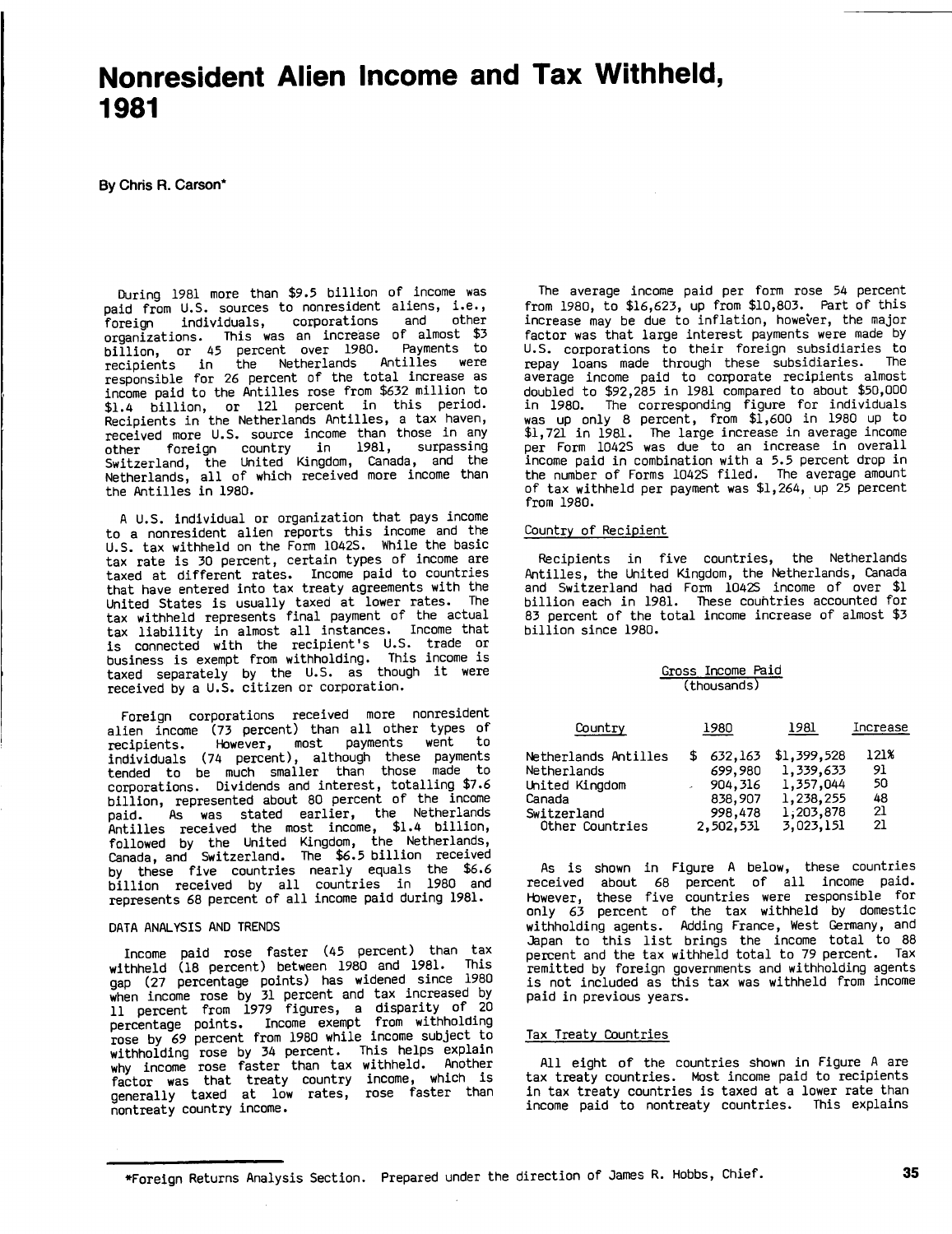# Nonresident Alien Income and Tax Withheld, **1981**

**By** Chris R. Carson\*

During **<sup>1981</sup>** more than **\$9.5** billion of income was paid from U.S. sources to nonresident aliens, i.e.,<br>foreign individuals, corporations and other **f**oreign individuals, corporations and other organizations. This was an increase of almost **\$3** billion, or <sup>45</sup> percent over **1980.** Payments to recipients in the Netherlands Antilles were responsible for **<sup>26</sup>** percent of the total increase as income paid to the Antilles rose from **\$632** million to \$1.4 billion, or 121 percent in this period. Recipients in the Netherlands Antilles, <sup>a</sup> tax haven, received more **U.S.** source income than those in any other foreign country in **1981,** surpassing Switzerland, the United Kingdom, Canada, and the Netherlands, all of which received more income than the Antilles in **1980.**

**<sup>A</sup> U.S.** individual or organization that pays income to <sup>a</sup> nonresident alien reports this income and the **U.S.** tax withheld on the Form 1042S. While the basic tax rate is **<sup>30</sup>** percent, certain types of income are taxed at different rates. Income paid to countries that have entered into tax treaty agreements with the United States is usually taxed at lower rates. The tax withheld represents final payment of the actual tax liability in almost all instances. Income that is connected with the recipient's **U.S.** trade or business is exempt from withholding. This income is taxed separately **by** the **U.S.** as though it were received **by** <sup>a</sup> **U.S.** citizen or corporation.

Foreign corporations received more nonresident alien income **(73** percent) than all other types of recipients. However, most payments went to individuals (74 percent), although these payments tended to be much smaller than those made to corporations. Dividends and interest, totalling **\$7.6** billion, represented about **80** percent of the income paid. As was stated earlier, the Netherlands Antilles received the most income, \$1.4 billion, followed **by** the United Kingdom, the Netherlands, Canada, and Switzerland. The **\$6.5** billion received **by** these five countries nearly equals the **\$6.6** billion received **by** all countries in **1980** and represents **68** percent of all income paid during **1981.**

#### **DATA** ANALYSIS **AND TRENDS**

Income paid rose faster (45 percent) than tax withheld **(18** percent) between **<sup>1980</sup>** and **1981.** This gap **(27** percentage points) has widened since **<sup>1980</sup>** when income rose **by <sup>31</sup>** percent and tax increased **by <sup>11</sup>** percent from **<sup>1979</sup>** figures, <sup>a</sup> disparity of <sup>20</sup> percentage points. Income exempt from withholding rose **by <sup>69</sup>** percent from **<sup>1980</sup>** while income subject to withholding rose **by** <sup>34</sup> percent. This helps explain why income rose faster than tax withheld. Another why filled factor was that treaty country income, which is denerally taxed at low rates, rose faster than nontreaty country income.

The average income paid per form rose <sup>54</sup> percent from **1980,** to **\$16,623,** up from **\$10,803.** Part of this increase may be due to inflation, however, the major factor was that large interest payments were made **by U.S.** corporations to their foreign subsidiaries to repay loans made through these subsidiaries. average income paid to corporate recipients almost doubled to **\$92,285** in **<sup>1981</sup>** compared to about **\$50,000** in **1980.** The corresponding figure for individuals was up only **<sup>8</sup>** percent, from **\$1,600** in **<sup>1980</sup>** up to **\$1,721** in **1981.** The large increase in average income per Form 1042S was due to an increase in overall income paid in combination with <sup>a</sup> **5.5** percent drop in the number of Forms 1042S filed. The average amount of tax withheld per payment was \$1,264, up **<sup>25</sup>** percent from **1980.**

#### Country of Recipient

Recipients in five countries, the Netherlands Antilles, the United Kingdom, the Netherlands, Canada and Switzerland had Form 1042S income of over **\$1** billion each in **1981.** These couhtries accounted for **<sup>83</sup>** percent of the total income increase of almost **\$3** billion since **1980.**

#### Gross Income Paid (thousands)

| Country              | 1980 |           | 1981        | Increase |
|----------------------|------|-----------|-------------|----------|
| Netherlands Antilles |      | 632,163   | \$1,399,528 | 121%     |
| Netherlands          |      | 699,980   | 1,339,633   | 91       |
| United Kingdom       |      | 904, 316  | 1,357,044   | 50       |
| Canada               |      | 838,907   | 1,238,255   | 48       |
| Switzerland          |      | 998,478   | 1,203,878   | 21       |
| Other Countries      |      | 2,502,531 | 3,023,151   | 21       |

As is shown in Figure **<sup>A</sup>** below, these countries received about **<sup>68</sup>** percent of all income paid. However, these five countries were responsible for only **<sup>63</sup>** percent of the tax withheld **by** domestic withholding agents. Adding France, West Germany, and Japan to this list brings the income total to **<sup>88</sup>** percent and the tax withheld total to **<sup>79</sup>** percent. Tax remitted **by** foreign governments and withholding agents is not included as this tax was withheld from income paid in previous years.

#### Tax Treaty Countries

**All** eight of the countries shown in Figure **<sup>A</sup>** are tax treaty countries. Most income paid to recipients in tax treaty countries is taxed at a lower rate than income paid to nontreaty countries. This explains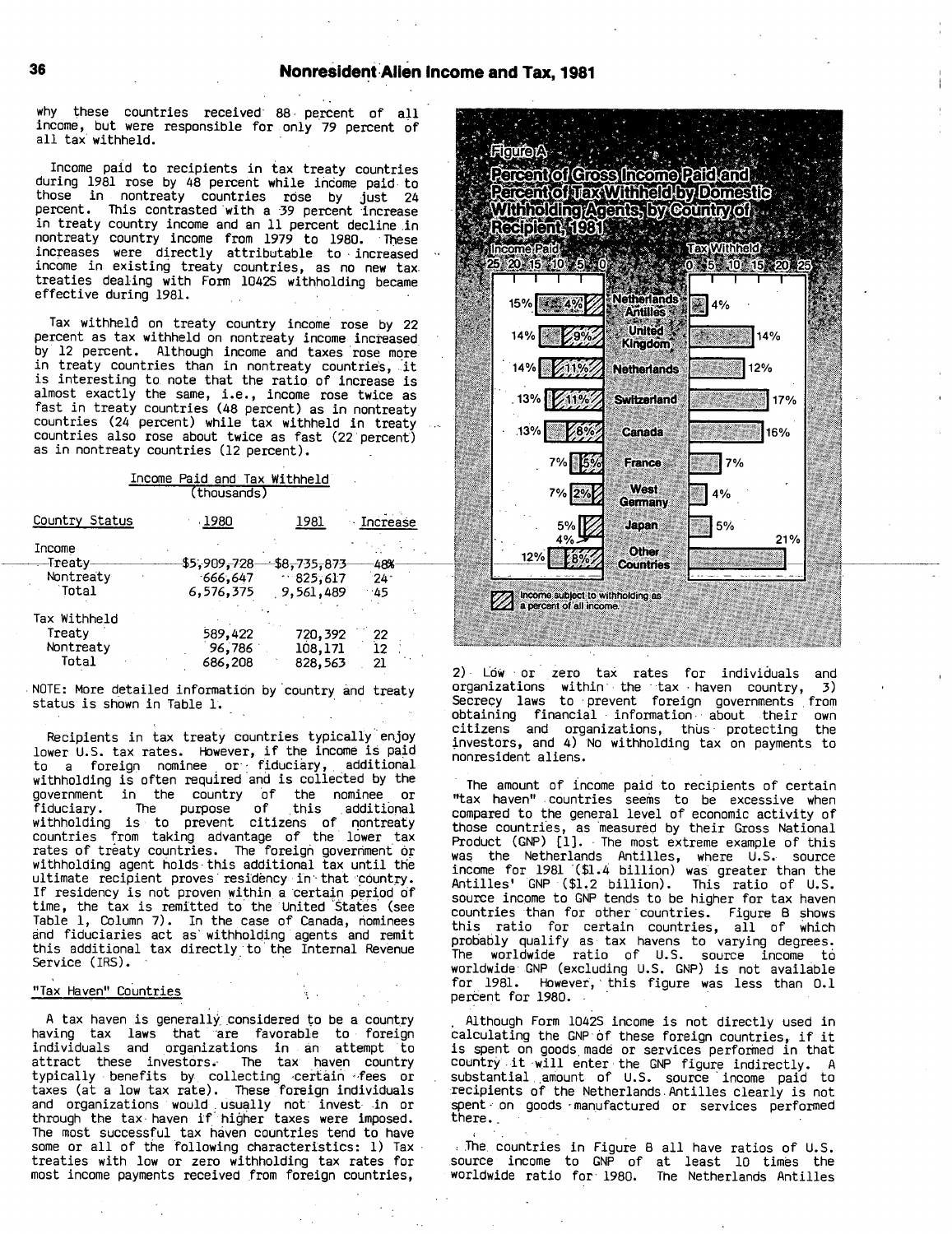why these countries received- **88-** percent of all income, but were responsible for only 79 percent of all tax withheld.

Income paid to recipients in tax treaty countries during **<sup>1981</sup>** rose **by** 48 percent while income paid to those in nontreaty countries rose **by j**ust <sup>24</sup> percent. This contrasted 'with a **39** percent 'increase in treaty country income and an **<sup>11</sup>** percent decline.in nontreaty country income from **1979** to **1980.** 'These increases were directly attributable to increased income in existing treaty countries, as no new tax treaties dealing with Form 1042S withholding became effective during **1981.**

Tax withheld on treaty country income rose **by** 22 percent as tax withheld on nontreaty income increased, **by** 12 percent. Although income and taxes rose more in treaty countries than in nontreaty countries, it is interesting to note that the ratio, of increase is almost exactly the same, i.e., income rose twice as fast in treaty countries (48 percent) as in nontreaty countries (24 percent) while tax withheld in treaty countries also rose about twice as fast (22 percent) as in nontreaty countries (12 percent).

|  |             | Income Paid and Tax Withheld |
|--|-------------|------------------------------|
|  | (thousands) |                              |

| Country Status | 1980<br>1981 |                           | <b>Increase</b> |
|----------------|--------------|---------------------------|-----------------|
| Income         |              |                           |                 |
| -Treaty        | \$5,909,728  | <del>\$</del> 8,735,873 + | -48%            |
| Nontreaty      | $-666, 647$  | $-825,617$                | 24.             |
| Total          | 6,576,375    | 9,561,489                 | -45             |
| Tax Withheld   |              |                           |                 |
| Treaty         | 589,422      | 720,392                   | 22              |
| Nontreaty      | 96,786       | 108,171                   | 12              |
| Total          | 686,208      | 828,563                   | 21              |

**.NOTE:** More detailed information by'country. and treaty status is shown in Table **1.**

Recipients in tax treaty countries typically enjoy Recipients in tax treaty countries typically enjoy<br>lower U.S. tax rates. However, if the income is paid to <sup>a</sup> foreign nominee **.** or **: f**iduciary, **,** additional withholding is often required and is collected **by** the government in the country of the nominee or fiduciary. The purpose of this additional<br>withholding is to prevent citizens of nontreaty countries from taking advantage of the lower tax rates of treaty countries. The foreign government' **'or** withholding agent holds-this additional tax until the ultimate recipient proves residency in that country. If residency is not proven within a certain period of time, the tax is remitted to the United States (see Table **1,** Column **7).** In the case of Canada, nominees and fiduciaries act as' withholding agents and remit this additional tax directly. to the Internal Revenue Service (IRS).

### "Tax Haven" Countries

A tax haven is generally considered to be a country having tax laws that 'are favorable to foreign individuals and organizations in an attempt to attract these investors. The tax haven country typically benefits by collecting certain fees or taxes (at <sup>a</sup> low tax rate). These foreign individuals and organizations would usually not invest in or through the tax haven if higher taxes were imposed. The most successful tax haven countries tend to have some or all of the following characteristics: **1)** Tax treaties with low or zero withholding tax rates for most income payments received from foreign countries,



2) Low or zero tax rates for individuals and<br>organizations within the tax haven country, 3) organizations within the tax haven country, Secrecy laws to prevent foreign governments from obtaining financial information. about their own citizens and organizations, thus protecting investors, and 4) No withholding tax on payments to nonresident aliens.

The amount of income paid to recipients of certain "tax haven" countries seems to be excessive when compared to the general level of economic activity of those countries, as measured **by** their Gross National Product **(GNP) [1].** The most extreme example of this was the Netherlands Antilles, where **U.S.** source income for **<sup>1981</sup>** '(\$1.4 billion) was greater than the Antilles' **GNP** (\$1.2 billion). This ratio of **U.S.** source income to **GNP** tends to be higher for tax haven countries than for other countries. Figure <sup>B</sup> shows this ratio for certain countries, all **of** which probably qualify as tax havens to varying degrees. The worldwide ratio of **U.S.** source income to worldwide **GNP** (excluding **U.S. GNP)** is not available for **1981.** However, **'** this figure was less than **0.1** percent for **1980.**

Although Form 1042S income is not directly used in calculating the **GNP of** these foreign countries, if it is spent on goods made or services performed in that **'** country it will enter the **GNP** figure indirectly. **<sup>A</sup>** substantial **.** amount of **U.S.** source **'** income paid to recipients of the Netherlands. Antilles clearly is not spent. on goods ~manufactured or services performed there.,

The, countries in Figure <sup>B</sup> all have ratios of **U.S.** source income to **GNP** of at least **<sup>10</sup>** times the worldwide ratio for- **1980.** The Netherlands Antilles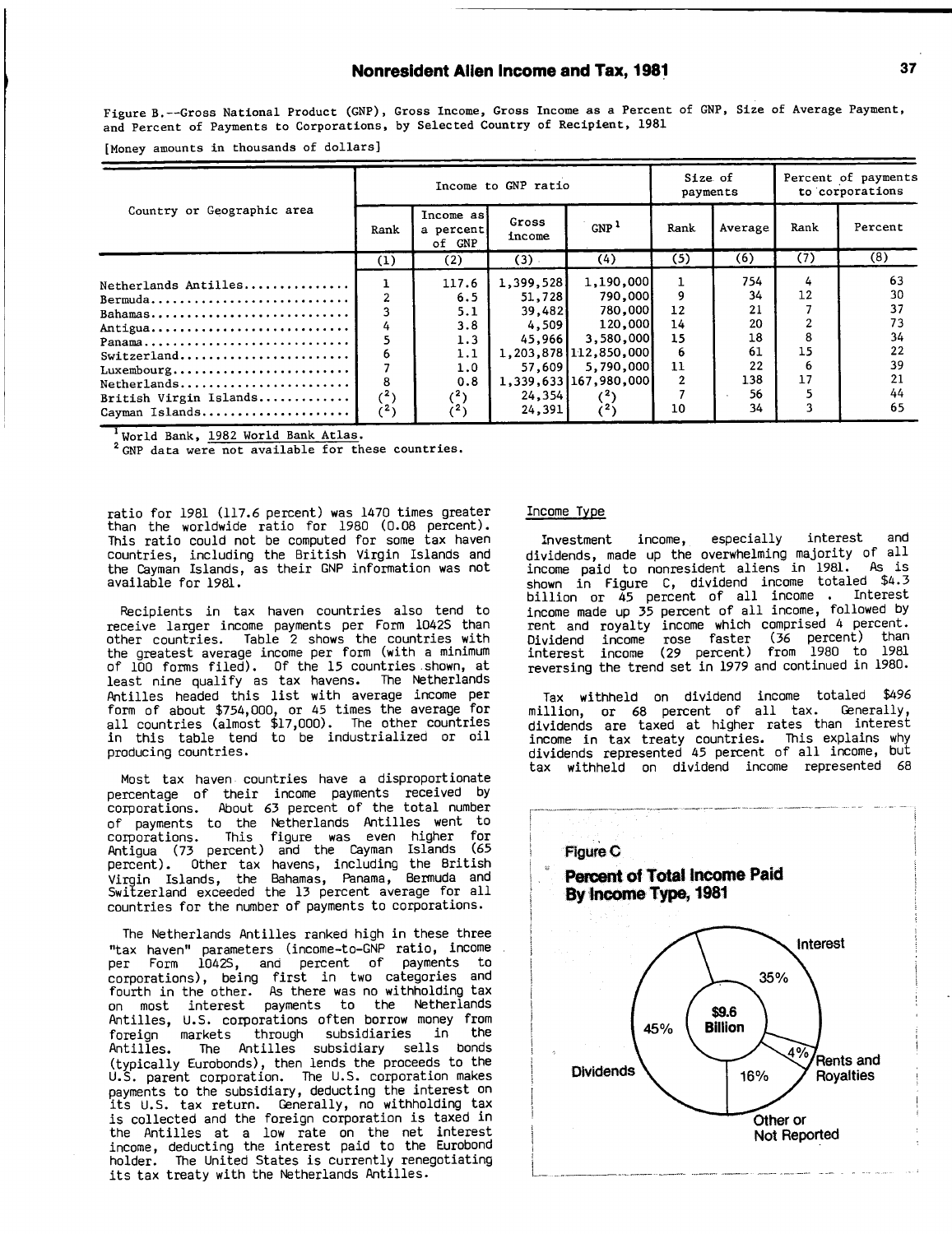### Nonresident Allen Income and Tax, **1981 37**

Figure B.--Gross National Product **(GNP),** Gross Income, Gross Income as <sup>a</sup> Percent of **GNP,** Size of Average Payment, and Percent of Payments to Corporations, **by** Selected Country of Recipient, **1981**

[Money amounts in thousands of dollars]

|                                                                                                                                          |                                                |                                                                         | Income to GNP ratio                                                              |                                                                                                                                                 | Size of<br>payments        |                                                             | Percent of payments<br>to corporations |                                                          |
|------------------------------------------------------------------------------------------------------------------------------------------|------------------------------------------------|-------------------------------------------------------------------------|----------------------------------------------------------------------------------|-------------------------------------------------------------------------------------------------------------------------------------------------|----------------------------|-------------------------------------------------------------|----------------------------------------|----------------------------------------------------------|
| Country or Geographic area                                                                                                               | Rank                                           | Income as<br>a percent<br>of GNP                                        | Gross<br>income                                                                  | GNP <sup>1</sup>                                                                                                                                | Rank                       | Average                                                     | Rank                                   | Percent                                                  |
|                                                                                                                                          | (1)                                            | (2)                                                                     | $(3)$ .                                                                          | (4)                                                                                                                                             | (5)                        | (6)                                                         | (7)                                    | (8)                                                      |
| Netherlands Antilles<br>Bermuda<br>Bahamas<br>Antigua<br>Panama<br>Luxembourg<br>Netherlands<br>British Virgin Islands<br>Cayman Islands | 4<br>5<br>6<br>8<br>$^{(2)}$<br>$\binom{2}{ }$ | 117.6<br>6.5<br>5.1<br>3.8<br>1.3<br>1.1<br>1.0<br>0.8<br>$(^2)$<br>(2) | 1,399,528<br>51,728<br>39,482<br>4.5091<br>45,966<br>57,609<br>24, 354<br>24,391 | 1,190,000<br>790,000<br>780,000<br>120,000<br>3,580,000<br>1,203,878 112,850,000<br>5,790,000<br>1,339,633 167,980,000<br>(3)<br>$\binom{2}{ }$ | 12<br>14<br>15<br>11<br>10 | 754.<br>34<br>21<br>20<br>18<br>61<br>22<br>138<br>56<br>34 | 4<br>12<br>8<br>15<br>-6<br>17         | 63<br>30<br>37<br>73<br>34<br>22<br>39<br>21<br>44<br>65 |

**I** World Bank, **1982** World Bank Atlas.

<sup>2</sup> GNP data were not available for these countries.

ratio for **<sup>1981</sup> (117.6** percent) was 1470 times greater than the worldwide ratio for **<sup>1980</sup> (0.08** percent). This ratio could not be computed for some tax haven countries, including the British Virgin Islands and the Cayman Islands, as their **GNP** information was not available for 19al.

Recipients in tax haven countries also tend to receive larger income payments per Form 1042S than other countries. Table <sup>2</sup> shows the countries with the greatest average income per form (with <sup>a</sup> minimum of **<sup>100</sup>** forms filed). **Of** the **<sup>15</sup>** countries shown, at least nine qualify as tax havens. The Netherlands Antilles headed this list with average income per form of about \$754,000, or <sup>45</sup> times the average for all countries (almost **\$17,000).** The other countries in this table tend to be industrialized or oil producing countries.

Most tax haven countries have a disproportionate percentage of their income payments received **by** corporations. About **63** percent of the total number of payments to the Netherlands Antilles went to corporations. This figure was even higher for Antigua **(73** percent) and the Cayman Islands **(65** percent). Other tax havens, including the British Virgin Islands, the Bahamas, Panama, Bermuda and Switzerland exceeded the **13** percent average for all countries for the number of payments to corporations.

The Netherlands Antilles ranked high in these three "tax haven" parameters (income-to-GNP ratio, income per Form 1042S, and percent of payments to corporations), being first in two categories and fourth in the other. As there was no withholding tax on most interest payments to the Netherlands Antilles, **U.S.** corporations often borrow money from foreign markets through subsidiaries in the The Antilles subsidiary sells bonds (typically Eurobonds), then lends the proceeds to the **U.S.** parent corporation. The **U.S.** corporation makes payments to the subsidiary, deducting the interest on its **U.S.** tax return. Generally, no withholding tax is collected and the foreign corporation is taxed in the Antilles at a low rate on the net interest income, deducting the interest paid to the Eurobond holder. The United States is currently renegotiating its tax treaty with the Netherlands Antilles.

#### Income Type

Investment income, especially interest and dividends, made up the overwhelming majority of all income paid to nonresident aliens in **1981.** As is shown in Figure **C,** dividend income totaled \$4.3 billion or 45 percent of all income **.** Interest income made up **35** percent of all income, followed **by** rent and royalty income which comprised 4 percent. Dividend income rose faster **(36** percent) than interest income **(29** percent) from **1980** to **1981** reversing the trend set in **1979** and continued in **1980.**

Tax withheld on dividend income totaled \$496 million, or **<sup>68</sup>** percent of all tax. Generally, dividends are taxed at higher rates than interest income in tax treaty countries. This explains why dividends represented <sup>45</sup> percent of all income, but tax withheld on dividend income represented **<sup>68</sup>**

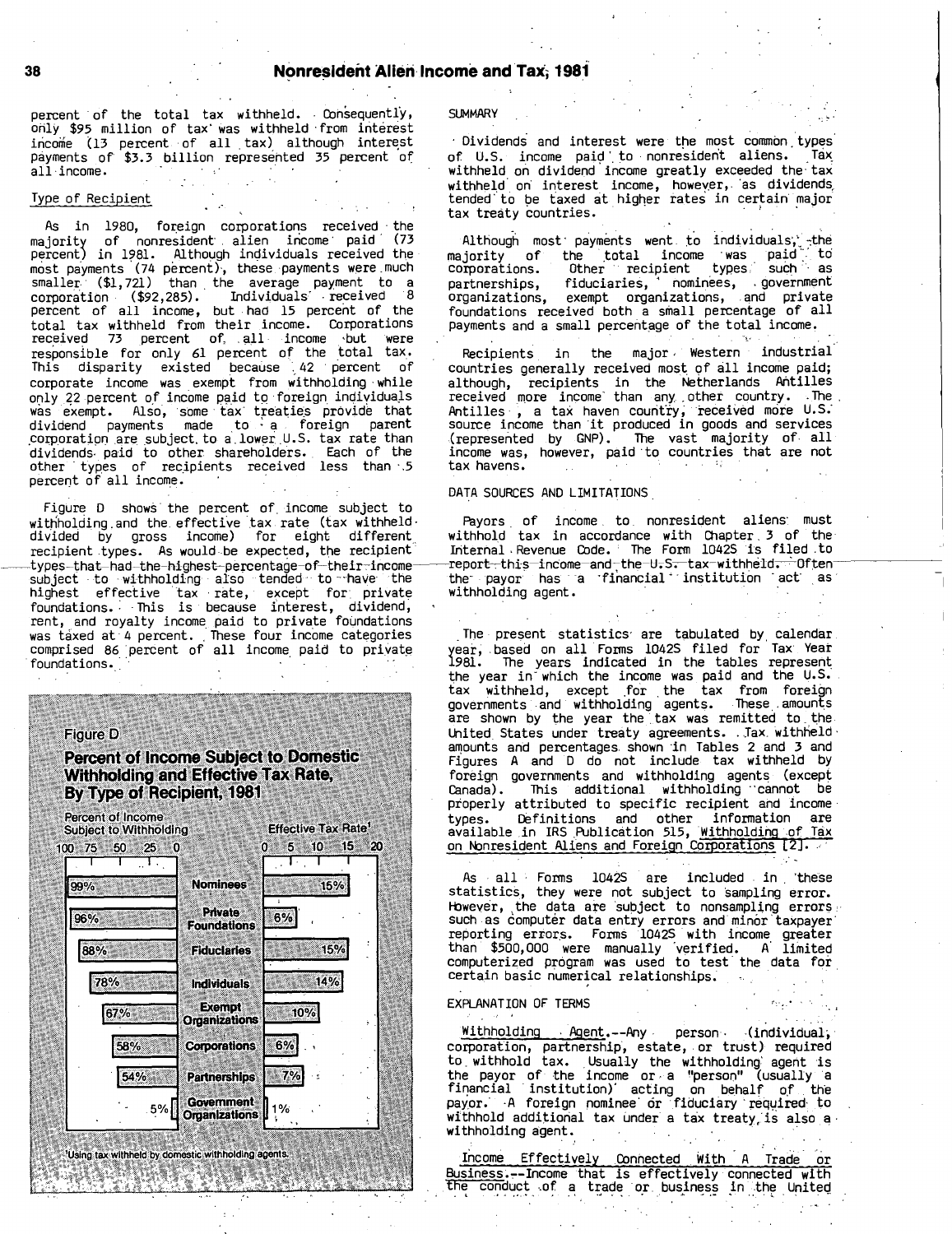percent of the total tax withheld. Consequently, SUMMARY only **\$95** million of tax' Was withheld -from interest income (13 percent of all tax) although interest payments of **\$3.3** billion represented **<sup>35</sup>** percent of all-income.

#### Type of Recipient

As in **1980,** foreign corporations received the majority of nonresident, **.** alien income **.** paid **(73** percent) in **1981.** Although individuals received the most payments (74 percent), these payments were much smaller. **(\$1,721)** than the average payment to <sup>a</sup> corporation (\$92,285). Individuals received 8<br>percent of all income, but had 15 percent of the total tax withheld from their income. Corporations received **<sup>73</sup>** percent of.. **. all** income but were responsible for only 61 percent of the total tax. This disparity existed because **',** <sup>42</sup> percent of corporate income was exempt from withholding while only 22 percent of income paid to foreign individua.<br>was exempt. Also, some tax treaties provide the ls was exempt. Also, some tax\* treaties provide that dividend payments made to **, a '** foreign parent **'** ~corporation are subject, to a. lower **. U.S.** tax rate than dividends' paid to other shareholders. **.** Each of the other types of recipients received less than 5 **'** percent of all income..

Figure **<sup>D</sup>** shows the percent of. income subject to withholding and the effective tax rate (tax withheld-<br>divided by gross income) for eight different divided **by** gross income) for eight different recipient types. As would be expected, the recipient -typps-that had-the-highest-percentage-of-their-incomesubject **-** to withholding also tended to --have the highest effective tax **-** rate, except for. private foundations.. This is because interest, dividend, rent, and royalty income paid to priva **'** te foundations was taxed at 4 percent. These four income categories comprised **86** percent of all income. paid to private foundations.

#### Figure **D**

Percent of Income Subject to Domestic Withholding and Effective Tax Rate, **By** Type of Recipient, **1981**

| 100 75 50 25 | 0                                     | 5 10 15 20<br>0. |  |
|--------------|---------------------------------------|------------------|--|
| 99%          | <b>Nominees</b>                       | 15%              |  |
| 96%          | <b>Private</b><br><b>Foundations</b>  | 6%               |  |
| 88%          | <b>Fiduciaries</b>                    | 15%              |  |
| 78%          | <b>Individuals</b>                    | 14%              |  |
| 67%          | <b>Exempt</b><br><b>Organizations</b> | 10%              |  |
| 58%          | <b>Corporations</b>                   | 6%               |  |
| 54%          | <b>Partnerships</b>                   | 7%               |  |
| 5%           | Government<br>Organizations           | 1%               |  |
|              |                                       |                  |  |

**.** Dividends and interest were the most common. types of **U.S.** i ncome paid'.to nonresident aliens. **' '** withheld on dividend income greatly exceeded the- tax Tax\_ withheld on interest income, however, as dividends **\*** tended' to be taxed at higher rates in certain major tax treaty countries.

 $\texttt{Although}~\texttt{most}~\texttt{payments}~\texttt{work}~\texttt{to}~\texttt{individuals},$  -the majority of the total income was paid to<br>corporations. Other recipient types such as corporations. Other recipient types; such **. -** as partnerships, fiduciaries, **'** nominees, government organizations, exempt organizations, **.** and private foundations received both a small percentage of all payments and <sup>a</sup> small percentage of the total income.

Recipients, in the major, Western industrial countries generally received most of **611** income paid; although, recipients in the Netherlands Antilles received more income than any other country. The Antilles - **,** <sup>a</sup> tax haven counfty, 'received more **U.S.'** source income than 'it produced in goods and services (represented **by GNP).** The vast majority of. all income was, however, paid 'to countries that are not tax havens. **. <sup>~</sup> :; <sup>I</sup>**

#### **DATA SOURCES AND** LIMITATIONS,

Payors of income to nonresident aliens must withhold tax in accordance with Chapter, **<sup>3</sup>** of the Internal Revenue Code. **'** The Form 1042S is filed to report-7this income-and-, the-U-. S-;-tax-withh6ld. **" Of**t.en the payor has a financial institution act as withholding agent.

.The present statistics, are tabulated **by.** calendar year, based on all Forms 1042S filed for Tax Year **981.** The years indicated in the tables represent the year in-which the income was paid and the **U.S.'** tax withheld, except for the tax from foreign governments and withholding agents. These amounts are shown by the year the tax was remitted to the **\*** United States under treaty agreements. **.** Tax- withheld, **'**amounts and percentages, shown -in Tables 2 and **3** and Figures **<sup>A</sup>** and **<sup>D</sup>** do not include tax withheld **by** foreign governments and withholding agents (except Canada). This additional withholding "cannot be properly attributed to specific recipient and income types. Definitions and other information are available in IRS Publication **515,** Withholding of Tax on Nonresident Aliens and Foreign Corporations [2].

As **,** all **.** Forms 1042S are included in 'these statistics, they were not subject to sampling error. However, the data are subject to nonsampling errors such as computer data entry errors and minor taxpayer<br>reporting errors. Forms 1042S with income greater **'** than **\$500,000** were manually 'verified. **<sup>A</sup>** limited computerized program was used to test the data foi. certain basic numerical relationships.

#### EXPLANATION OF TERMS

Withholding Agent.--Any person (individual, corporation, partnership, estate, or trust) required to withhold tax. Usually the withholding agent is<br>the payor of the income or a "person" (usually a<br>financial institution) acting on behalf of the<br>payor. A foreign nominee or fiduciary required to payor. A foreign nominee or fiduciary required to withhold additional tax under a tax treaty, is also a. withholding agent.

Income Effectively Connected With **<sup>A</sup>** Trade or Business -- Income that is effectively connected with the conduct of a trade or business in the United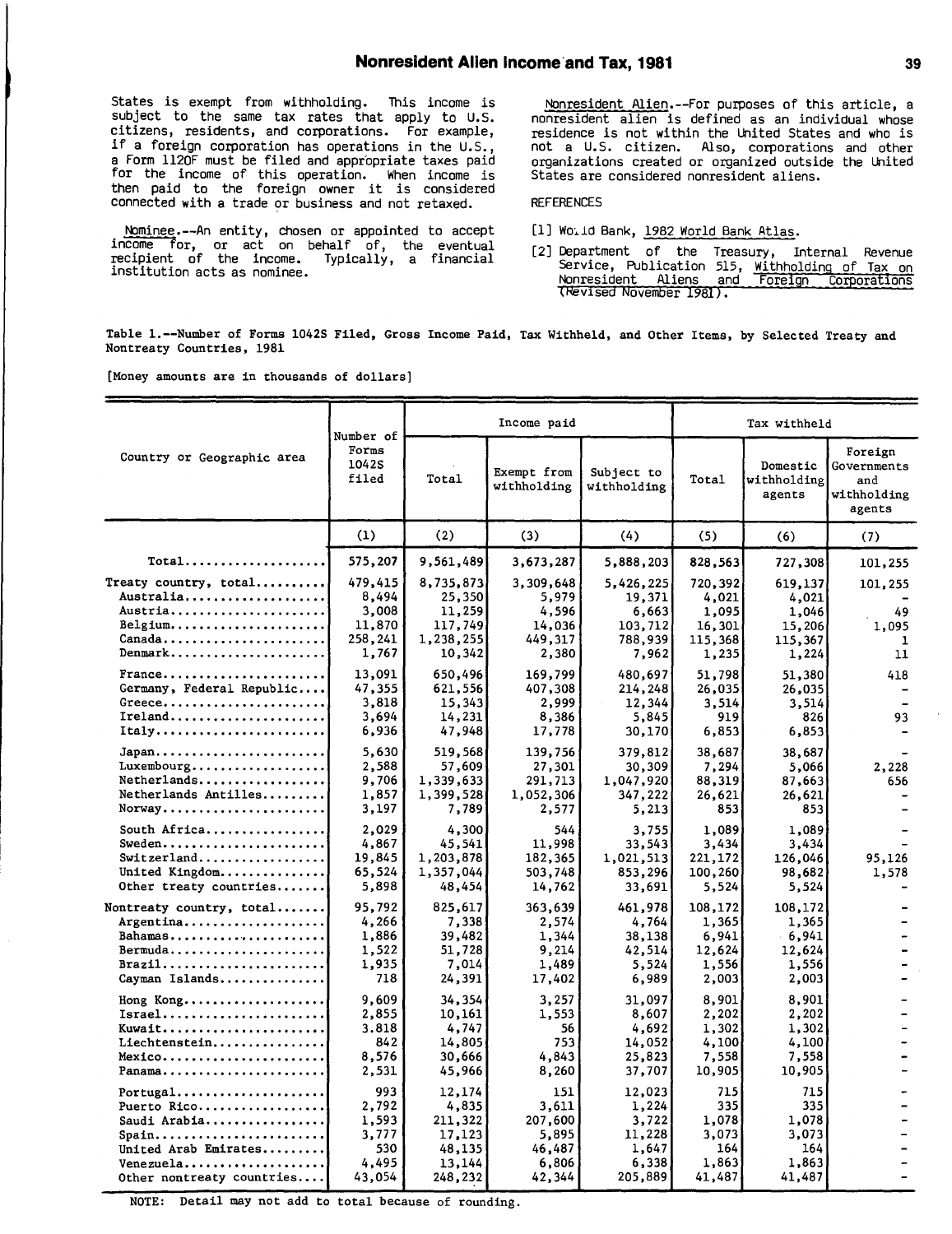States is exempt from withholding. This income is subject to the same tax rates that apply to **U.S.** citizens, residents, and corporations. For example, if <sup>a</sup> foreign corporation has operations in the **U.S.,** <sup>a</sup> Form 1120F must be filed and appropriate taxes paid for the income of this operation. When income is<br>then paid to the foreign owner it is considered connected with <sup>a</sup> trade or business and not retaxed.

Nominee-An entity, chosen or appointed to accept income for, or act on behalf of, the eventual recipient of the income. Typically, a financial institution acts as nominee.

Nonresident Alien.--For purposes of this article, <sup>a</sup> nonresident alien is defined as an individual whose residence is not within the United States and who is not <sup>a</sup> **U.S.** citizen. Also, corporations and other organizations created or organized outside the United States are considered nonresident aliens.

#### **REFERENCES**

- **[11** Woiid Bank, **1982** World Bank Atlas.
- [21 Department **of** the Treasury, Internal Revenue Service, Publication **515,** Withholding of Tax on Nonresident Aliens and -Foreign Corporations (Revised November 1981).

Table l.--Number of Forms 1042S Filed, Gross Income Paid, Tax Withheld, and Other Items, **by** Selected Treaty and Nontreaty Countries, **1981**

(Money amounts are in thousands of dollars]

|                                                                                                                                                                                  | Number of                                                |                                                                     | Income paid                                                   |                                                                 | Tax withheld                                            |                                                         |                                                        |  |
|----------------------------------------------------------------------------------------------------------------------------------------------------------------------------------|----------------------------------------------------------|---------------------------------------------------------------------|---------------------------------------------------------------|-----------------------------------------------------------------|---------------------------------------------------------|---------------------------------------------------------|--------------------------------------------------------|--|
| Country or Geographic area                                                                                                                                                       | Forms<br>1042S<br>filed                                  | Total                                                               | Exempt from<br>withholding                                    | Subject to<br>withholding                                       | Total                                                   | Domestic<br>withholding<br>agents                       | Foreign<br>Governments<br>and<br>withholding<br>agents |  |
|                                                                                                                                                                                  | (1)                                                      | (2)                                                                 | (3)                                                           | (4)                                                             | (5)                                                     | (6)                                                     | (7)                                                    |  |
| $Total \ldots \ldots \ldots \ldots$                                                                                                                                              | 575,207                                                  | 9,561,489                                                           | 3,673,287                                                     | 5,888,203                                                       | 828,563                                                 | 727,308                                                 | 101,255                                                |  |
| Treaty country, total<br>Australia<br>Austria<br>Belgium<br>Canada<br>$Dennark$                                                                                                  | 479,415<br>8,494<br>3,008<br>11,870<br>258,241<br>1,767  | 8,735,873<br>25,350<br>11,259<br>117,749<br>1,238,255<br>10,342     | 3,309,648<br>5,979<br>4,596<br>14,036<br>449,317<br>2,380     | 5,426,225<br>19,371<br>6,663<br>103,712<br>788,939<br>7,962     | 720,392<br>4,021<br>1,095<br>16,301<br>115,368<br>1,235 | 619,137<br>4,021<br>1,046<br>15,206<br>115,367<br>1,224 | 101,255<br>49<br>1,095<br>-1<br>11                     |  |
| France<br>Germany, Federal Republic<br>$G$ reece<br>$Ireland$<br>Itally                                                                                                          | 13,091<br>47,355<br>3,818<br>3,694<br>6,936              | 650,496<br>621,556<br>15,343<br>14,231<br>47,948                    | 169,799<br>407,308<br>2,999<br>8,386<br>17,778                | 480,697<br>214,248<br>12,344<br>5,845<br>30,170                 | 51,798<br>26,035<br>3,514<br>919<br>6,853               | 51,380<br>26,035<br>3,514<br>826<br>6,853               | 418<br>93                                              |  |
| Luxembourg<br>Netherlands<br>Netherlands Antilles<br>Norway                                                                                                                      | 5,630<br>2,588<br>9,706<br>1,857<br>3,197                | 519,568<br>57,609<br>1,339,633<br>1,399,528<br>7,789                | 139,756<br>27,301<br>291,713<br>1,052,306<br>2,577            | 379,812<br>30,309<br>1,047,920<br>347,222<br>5,213              | 38,687<br>7,294<br>88,319<br>26,621<br>853              | 38,687<br>5,066<br>87,663<br>26,621<br>853              | 2,228<br>656                                           |  |
| South Africa<br>Sweden<br>Switzerland<br>United Kingdom<br>Other treaty countries                                                                                                | 2,029<br>4,867<br>19,845<br>65,524<br>5,898              | 4,300<br>45,541<br>1,203,878<br>1,357,044<br>48,454                 | 544<br>11,998<br>182,365<br>503,748<br>14,762                 | 3,755<br>33,543<br>1,021,513<br>853,296<br>33,691               | 1,089<br>3,434<br>221,172<br>100,260<br>5,524           | 1,089<br>3,434<br>126,046<br>98,682<br>5,524            | 95,126<br>1,578                                        |  |
| Nontreaty country, total<br>$Argentina \ldots \ldots \ldots \ldots$<br>Bahamas<br>Bermuda<br>$\texttt{Brazil} \dots \dots \dots \dots \dots \dots \dots \dots$<br>Cayman Islands | 95,792<br>4,266<br>1,886<br>1,522<br>1,935<br>718        | 825,617<br>7,338<br>39,482<br>51,728<br>7,014<br>24,391             | 363,639<br>2,574<br>1.344<br>9,214<br>1,489<br>17,402         | 461,978<br>4,764<br>38,138<br>42,514<br>5,524<br>6,989          | 108,172<br>1,365<br>6,941<br>12,624<br>1,556<br>2,003   | 108,172<br>1,365<br>6,941<br>12,624<br>1,556<br>2,003   |                                                        |  |
| Hong Kong<br>$Israel$<br>Kuwait<br>Liechtenstein<br>Mexico<br>Panama                                                                                                             | 9.609<br>2,855<br>3.818<br>842<br>8,576<br>2,531         | 34,354<br>10,161<br>4,747<br>14,805<br>30,666<br>45,966             | 3,257<br>1,553<br>56<br>753<br>4,843<br>8,260                 | 31,097<br>8,607<br>4,692<br>14,052<br>25,823<br>37,707          | 8,901<br>2,202<br>1,302<br>4,100<br>7,558<br>10,905     | 8,901<br>2,202<br>1,302<br>4,100<br>7,558<br>10,905     |                                                        |  |
| Puerto Rico<br>Saudi Arabia<br>Spain<br>United Arab Emirates<br>Venezuela<br>Other nontreaty countries                                                                           | 993<br>2.792<br>1,593<br>3,777<br>530<br>4,495<br>43,054 | 12,174<br>4,835<br>211,322<br>17,123<br>48,135<br>13,144<br>248,232 | 151<br>3,611<br>207,600<br>5,895<br>46,487<br>6,806<br>42,344 | 12,023<br>1,224<br>3,722<br>11,228<br>1,647<br>6,338<br>205,889 | 715<br>3351<br>1,078<br>3,073<br>164<br>1,863<br>41,487 | 715<br>335<br>1,078<br>3,073<br>164<br>1,863<br>41,487  |                                                        |  |

**NOTE:** Detail may not add to total because of rounding.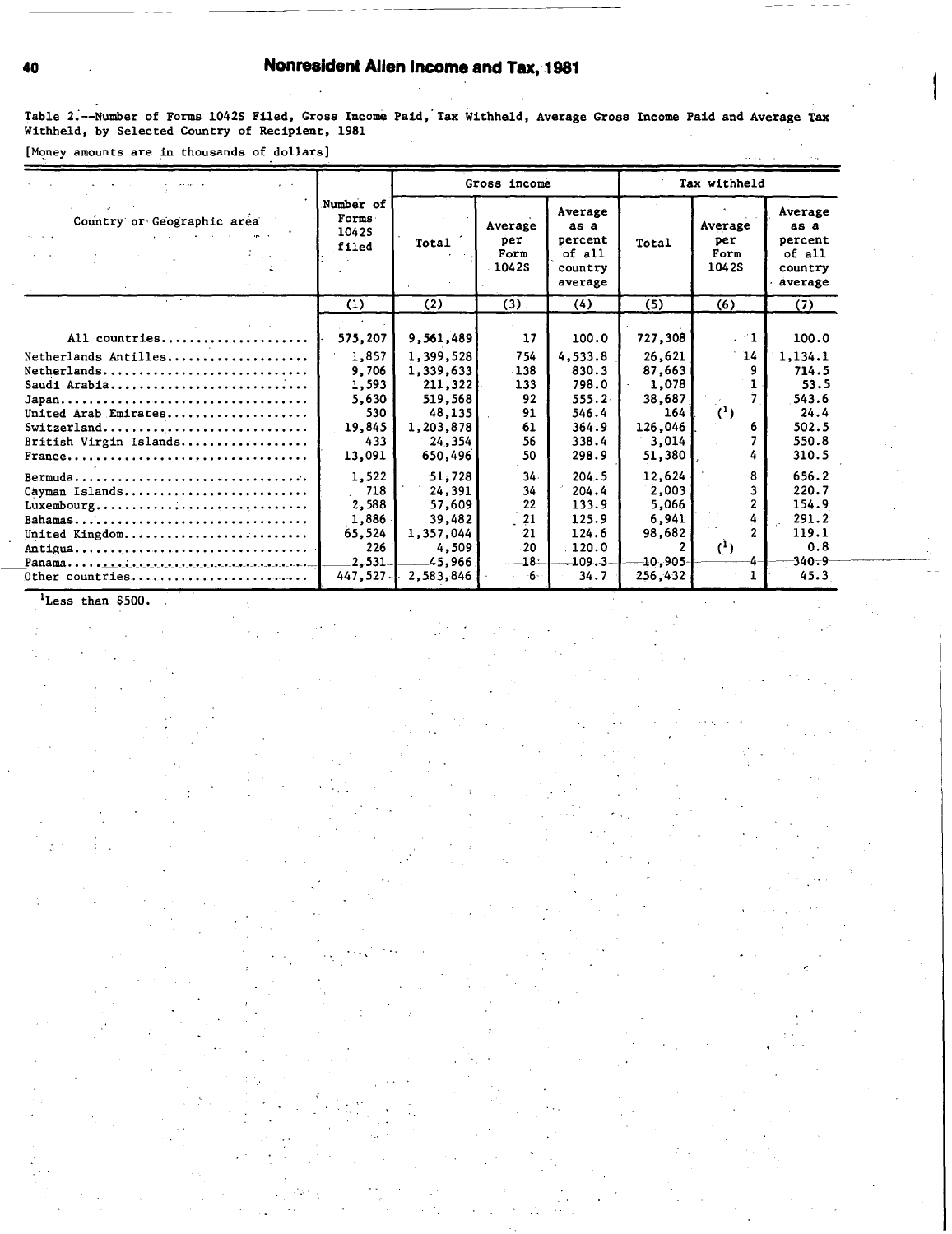## 40 Nonrealdent Allen Income and Tax, **1981**

Table 2.--Number of Forms 1042S Filed, Gross Income Paid, Tax Withheld, Average Gross Income Paid and Average Tax Withheld, **by** Selected Country of Recipient, **1981**

[Money amounts are in thousands of dollars]

|                                                                                                                                                                                                                         |                                                                               |                                                                                                       | Gross income                                          |                                                                                     |                                                                                     | Tax withheld                                       |                                                                                |
|-------------------------------------------------------------------------------------------------------------------------------------------------------------------------------------------------------------------------|-------------------------------------------------------------------------------|-------------------------------------------------------------------------------------------------------|-------------------------------------------------------|-------------------------------------------------------------------------------------|-------------------------------------------------------------------------------------|----------------------------------------------------|--------------------------------------------------------------------------------|
| Country or Geographic area                                                                                                                                                                                              | Number of<br>Forms<br>1042S<br>filed                                          | Total                                                                                                 | Average<br>per<br>Form<br>1042S                       | Average<br>as a<br>percent<br>of all<br>country<br>average                          | Total                                                                               | Average<br>per<br>Form<br>1042S                    | Average<br>as a<br>percent<br>of all<br>country<br>average                     |
|                                                                                                                                                                                                                         | (1)                                                                           | (2)                                                                                                   | $(3)$ .                                               | (4)                                                                                 | (5)                                                                                 | (6)                                                | (7)                                                                            |
| All countries<br>Netherlands Antilles<br>Netherlands<br>Saudi Arabia<br>United Arab Emirates<br>Switzerland<br>British Virgin Islands<br>$France \ldots \ldots \ldots \ldots \ldots \ldots \ldots \ldots \ldots \ldots$ | 575,207<br>1,857<br>9.706<br>1,593<br>5,630<br>530<br>19,845<br>433<br>13,091 | 9,561,489<br>1,399,528<br>1,339,633<br>211,322<br>519,568<br>48,135<br>1,203,878<br>24,354<br>650,496 | 17<br>754<br>138<br>133<br>92<br>91<br>61<br>56<br>50 | 100.0<br>4,533.8<br>830.3<br>798.0<br>$555.2 -$<br>546.4<br>364.9<br>338.4<br>298.9 | 727,308<br>26,621<br>87,663<br>1,078<br>38,687<br>164<br>126,046<br>3,014<br>51,380 | $\cdot$ $-1$<br>14<br>$^{\prime}$ ( <sup>1</sup> ) | 100.0<br>1, 134.1<br>714.5<br>53.5<br>543.6<br>24.4<br>502.5<br>550.8<br>310.5 |
| Bermuda<br>Cayman Islands<br>Luxembourg<br>United Kingdom<br>Antigua<br>Other countries                                                                                                                                 | 1,522<br>718<br>2,588<br>1,886<br>65,524<br>226<br>2,531<br>447,527           | 51.728<br>24,391<br>57,609<br>39,482<br>1,357,044<br>4,509<br>45,966<br>2,583,846                     | 34.<br>34<br>22<br>21<br>21<br>20<br>18:<br>$-6-$     | 204.5<br>204.4<br>133.9<br>125.9<br>124.6<br>120.0<br>$-109.3-$<br>34.7             | 12,624<br>2,003<br>5,066<br>6,941<br>98,682<br>$-10,905 -$<br>256,432               | 8<br>$^{(1)}$                                      | 656.2<br>220.7<br>154.9<br>291.2<br>119.1<br>0.8<br>$-340 - 9$<br>$-45.3$      |

'Less than'\$500.